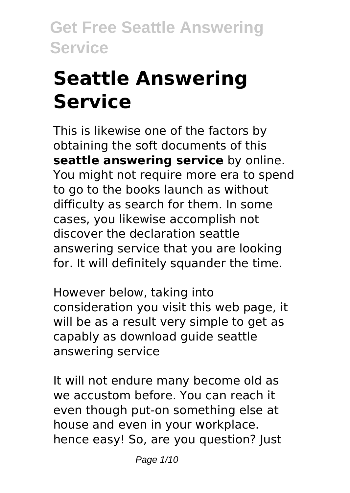# **Seattle Answering Service**

This is likewise one of the factors by obtaining the soft documents of this **seattle answering service** by online. You might not require more era to spend to go to the books launch as without difficulty as search for them. In some cases, you likewise accomplish not discover the declaration seattle answering service that you are looking for. It will definitely squander the time.

However below, taking into consideration you visit this web page, it will be as a result very simple to get as capably as download guide seattle answering service

It will not endure many become old as we accustom before. You can reach it even though put-on something else at house and even in your workplace. hence easy! So, are you question? Just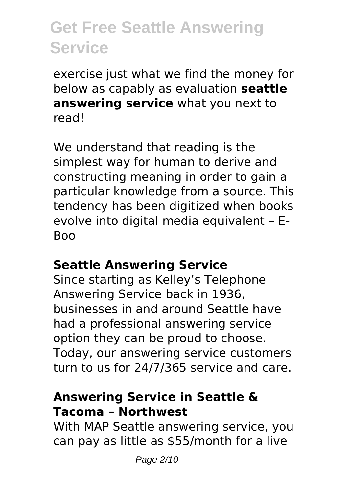exercise just what we find the money for below as capably as evaluation **seattle answering service** what you next to read!

We understand that reading is the simplest way for human to derive and constructing meaning in order to gain a particular knowledge from a source. This tendency has been digitized when books evolve into digital media equivalent – E-Boo

#### **Seattle Answering Service**

Since starting as Kelley's Telephone Answering Service back in 1936, businesses in and around Seattle have had a professional answering service option they can be proud to choose. Today, our answering service customers turn to us for 24/7/365 service and care.

#### **Answering Service in Seattle & Tacoma – Northwest**

With MAP Seattle answering service, you can pay as little as \$55/month for a live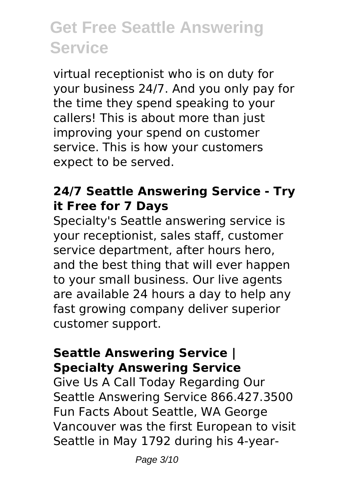virtual receptionist who is on duty for your business 24/7. And you only pay for the time they spend speaking to your callers! This is about more than just improving your spend on customer service. This is how your customers expect to be served.

### **24/7 Seattle Answering Service - Try it Free for 7 Days**

Specialty's Seattle answering service is your receptionist, sales staff, customer service department, after hours hero, and the best thing that will ever happen to your small business. Our live agents are available 24 hours a day to help any fast growing company deliver superior customer support.

#### **Seattle Answering Service | Specialty Answering Service**

Give Us A Call Today Regarding Our Seattle Answering Service 866.427.3500 Fun Facts About Seattle, WA George Vancouver was the first European to visit Seattle in May 1792 during his 4-year-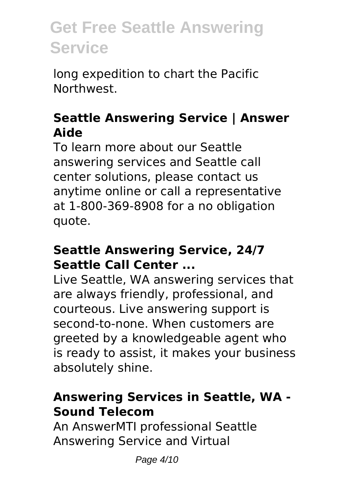long expedition to chart the Pacific Northwest.

### **Seattle Answering Service | Answer Aide**

To learn more about our Seattle answering services and Seattle call center solutions, please contact us anytime online or call a representative at 1-800-369-8908 for a no obligation quote.

#### **Seattle Answering Service, 24/7 Seattle Call Center ...**

Live Seattle, WA answering services that are always friendly, professional, and courteous. Live answering support is second-to-none. When customers are greeted by a knowledgeable agent who is ready to assist, it makes your business absolutely shine.

#### **Answering Services in Seattle, WA - Sound Telecom**

An AnswerMTI professional Seattle Answering Service and Virtual

Page 4/10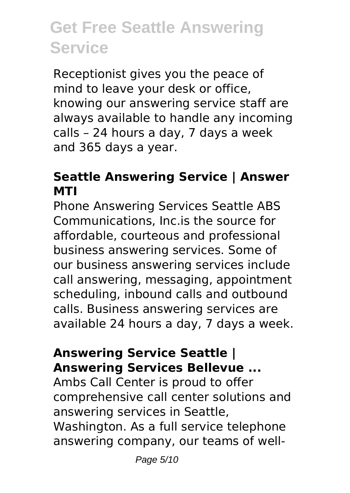Receptionist gives you the peace of mind to leave your desk or office, knowing our answering service staff are always available to handle any incoming calls – 24 hours a day, 7 days a week and 365 days a year.

### **Seattle Answering Service | Answer MTI**

Phone Answering Services Seattle ABS Communications, Inc.is the source for affordable, courteous and professional business answering services. Some of our business answering services include call answering, messaging, appointment scheduling, inbound calls and outbound calls. Business answering services are available 24 hours a day, 7 days a week.

#### **Answering Service Seattle | Answering Services Bellevue ...**

Ambs Call Center is proud to offer comprehensive call center solutions and answering services in Seattle, Washington. As a full service telephone answering company, our teams of well-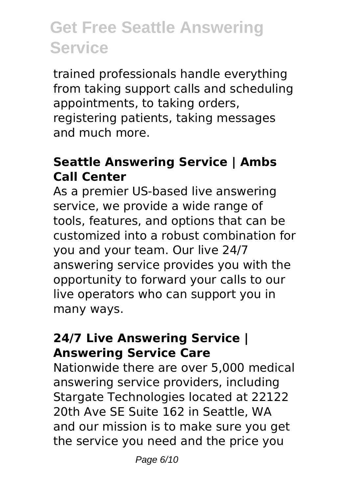trained professionals handle everything from taking support calls and scheduling appointments, to taking orders, registering patients, taking messages and much more.

### **Seattle Answering Service | Ambs Call Center**

As a premier US-based live answering service, we provide a wide range of tools, features, and options that can be customized into a robust combination for you and your team. Our live 24/7 answering service provides you with the opportunity to forward your calls to our live operators who can support you in many ways.

#### **24/7 Live Answering Service | Answering Service Care**

Nationwide there are over 5,000 medical answering service providers, including Stargate Technologies located at 22122 20th Ave SE Suite 162 in Seattle, WA and our mission is to make sure you get the service you need and the price you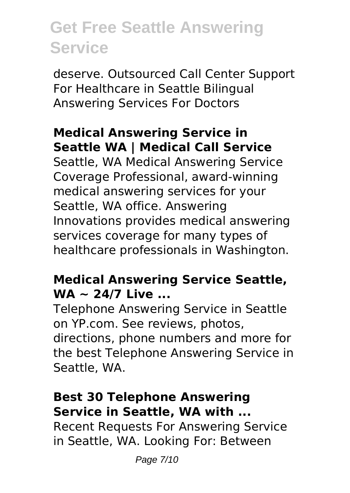deserve. Outsourced Call Center Support For Healthcare in Seattle Bilingual Answering Services For Doctors

### **Medical Answering Service in Seattle WA | Medical Call Service**

Seattle, WA Medical Answering Service Coverage Professional, award-winning medical answering services for your Seattle, WA office. Answering Innovations provides medical answering services coverage for many types of healthcare professionals in Washington.

### **Medical Answering Service Seattle, WA ~ 24/7 Live ...**

Telephone Answering Service in Seattle on YP.com. See reviews, photos, directions, phone numbers and more for the best Telephone Answering Service in Seattle, WA.

#### **Best 30 Telephone Answering Service in Seattle, WA with ...**

Recent Requests For Answering Service in Seattle, WA. Looking For: Between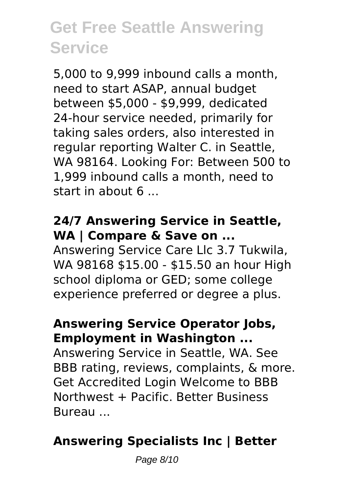5,000 to 9,999 inbound calls a month, need to start ASAP, annual budget between \$5,000 - \$9,999, dedicated 24-hour service needed, primarily for taking sales orders, also interested in regular reporting Walter C. in Seattle, WA 98164. Looking For: Between 500 to 1,999 inbound calls a month, need to start in about 6 ...

#### **24/7 Answering Service in Seattle, WA | Compare & Save on ...**

Answering Service Care Llc 3.7 Tukwila, WA 98168 \$15.00 - \$15.50 an hour High school diploma or GED; some college experience preferred or degree a plus.

#### **Answering Service Operator Jobs, Employment in Washington ...**

Answering Service in Seattle, WA. See BBB rating, reviews, complaints, & more. Get Accredited Login Welcome to BBB Northwest + Pacific. Better Business Bureau ...

### **Answering Specialists Inc | Better**

Page 8/10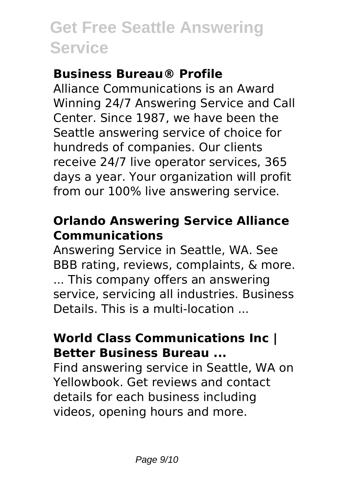### **Business Bureau® Profile**

Alliance Communications is an Award Winning 24/7 Answering Service and Call Center. Since 1987, we have been the Seattle answering service of choice for hundreds of companies. Our clients receive 24/7 live operator services, 365 days a year. Your organization will profit from our 100% live answering service.

### **Orlando Answering Service Alliance Communications**

Answering Service in Seattle, WA. See BBB rating, reviews, complaints, & more. ... This company offers an answering service, servicing all industries. Business Details. This is a multi-location ...

#### **World Class Communications Inc | Better Business Bureau ...**

Find answering service in Seattle, WA on Yellowbook. Get reviews and contact details for each business including videos, opening hours and more.